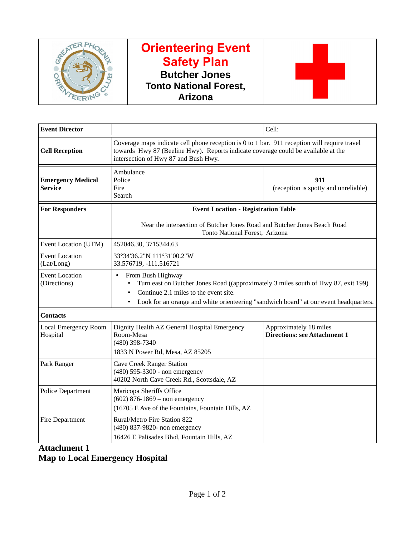

# **Orienteering Event Safety Plan Butcher Jones Tonto National Forest, Arizona**



| <b>Event Director</b>                      | Cell:                                                                                                                                                                                                                                                       |                                                               |  |  |  |
|--------------------------------------------|-------------------------------------------------------------------------------------------------------------------------------------------------------------------------------------------------------------------------------------------------------------|---------------------------------------------------------------|--|--|--|
| <b>Cell Reception</b>                      | Coverage maps indicate cell phone reception is 0 to 1 bar. 911 reception will require travel<br>towards Hwy 87 (Beeline Hwy). Reports indicate coverage could be available at the<br>intersection of Hwy 87 and Bush Hwy.                                   |                                                               |  |  |  |
| <b>Emergency Medical</b><br><b>Service</b> | Ambulance<br>Police<br>Fire<br>Search                                                                                                                                                                                                                       | 911<br>(reception is spotty and unreliable)                   |  |  |  |
| <b>For Responders</b>                      | <b>Event Location - Registration Table</b>                                                                                                                                                                                                                  |                                                               |  |  |  |
|                                            | Near the intersection of Butcher Jones Road and Butcher Jones Beach Road<br>Tonto National Forest, Arizona                                                                                                                                                  |                                                               |  |  |  |
| Event Location (UTM)                       | 452046.30, 3715344.63                                                                                                                                                                                                                                       |                                                               |  |  |  |
| <b>Event Location</b><br>(Lat/Long)        | 33°34'36.2"N 111°31'00.2"W<br>33.576719, -111.516721                                                                                                                                                                                                        |                                                               |  |  |  |
| <b>Event Location</b><br>(Directions)      | From Bush Highway<br>$\bullet$<br>Turn east on Butcher Jones Road ((approximately 3 miles south of Hwy 87, exit 199)<br>Continue 2.1 miles to the event site.<br>Look for an orange and white orienteering "sandwich board" at our event headquarters.<br>٠ |                                                               |  |  |  |
| <b>Contacts</b>                            |                                                                                                                                                                                                                                                             |                                                               |  |  |  |
| Local Emergency Room<br>Hospital           | Dignity Health AZ General Hospital Emergency<br>Room-Mesa<br>(480) 398-7340<br>1833 N Power Rd, Mesa, AZ 85205                                                                                                                                              | Approximately 18 miles<br><b>Directions: see Attachment 1</b> |  |  |  |
| Park Ranger                                | <b>Cave Creek Ranger Station</b><br>(480) 595-3300 - non emergency<br>40202 North Cave Creek Rd., Scottsdale, AZ                                                                                                                                            |                                                               |  |  |  |
| <b>Police Department</b>                   | Maricopa Sheriffs Office<br>(602) 876-1869 - non emergency<br>(16705 E Ave of the Fountains, Fountain Hills, AZ                                                                                                                                             |                                                               |  |  |  |
| Fire Department                            | Rural/Metro Fire Station 822<br>(480) 837-9820- non emergency<br>16426 E Palisades Blvd, Fountain Hills, AZ                                                                                                                                                 |                                                               |  |  |  |

### **Attachment 1 Map to Local Emergency Hospital**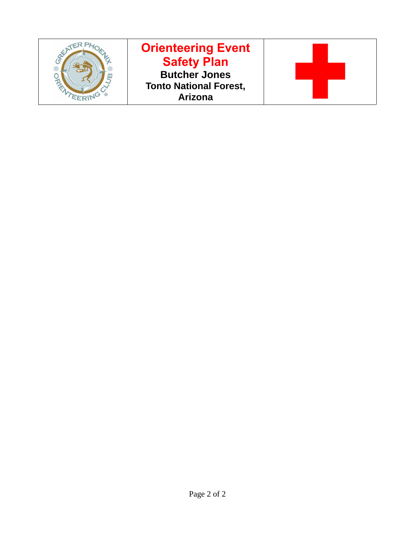

# **Orienteering Event Safety Plan Butcher Jones Tonto National Forest, Arizona**

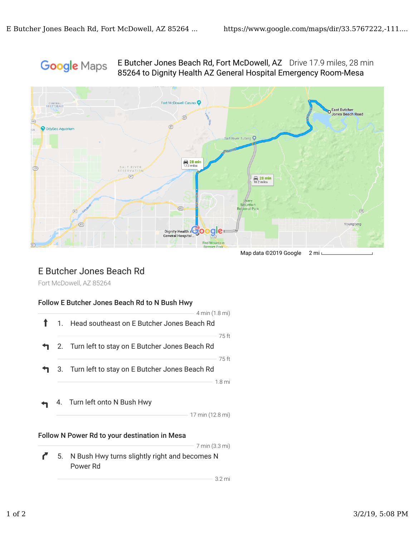#### E Butcher Jones Beach Rd, Fort McDowell, AZ Drive 17.9 miles, 28 min Google Maps 85264 to Dignity Health AZ General Hospital Emergency Room-Mesa



### E Butcher Jones Beach Rd

Fort McDowell, AZ 85264

### Follow E Butcher Jones Beach Rd to N Bush Hwy



C 5. N Bush Hwy turns slightly right and becomes N Power Rd

3.2 mi